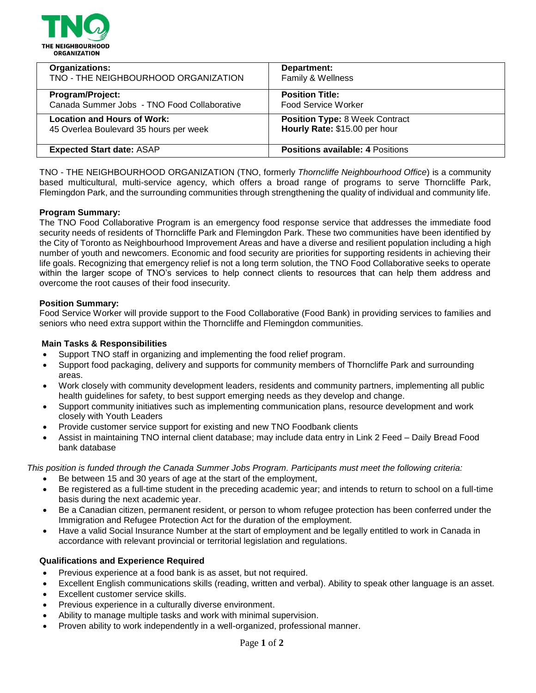

| <b>Organizations:</b>                       | Department:                             |
|---------------------------------------------|-----------------------------------------|
| TNO - THE NEIGHBOURHOOD ORGANIZATION        | Family & Wellness                       |
| Program/Project:                            | <b>Position Title:</b>                  |
| Canada Summer Jobs - TNO Food Collaborative | <b>Food Service Worker</b>              |
| <b>Location and Hours of Work:</b>          | <b>Position Type: 8 Week Contract</b>   |
| 45 Overlea Boulevard 35 hours per week      | Hourly Rate: \$15.00 per hour           |
| <b>Expected Start date: ASAP</b>            | <b>Positions available: 4 Positions</b> |

TNO - THE NEIGHBOURHOOD ORGANIZATION (TNO, formerly *Thorncliffe Neighbourhood Office*) is a community based multicultural, multi-service agency, which offers a broad range of programs to serve Thorncliffe Park, Flemingdon Park, and the surrounding communities through strengthening the quality of individual and community life.

### **Program Summary:**

The TNO Food Collaborative Program is an emergency food response service that addresses the immediate food security needs of residents of Thorncliffe Park and Flemingdon Park. These two communities have been identified by the City of Toronto as Neighbourhood Improvement Areas and have a diverse and resilient population including a high number of youth and newcomers. Economic and food security are priorities for supporting residents in achieving their life goals. Recognizing that emergency relief is not a long term solution, the TNO Food Collaborative seeks to operate within the larger scope of TNO's services to help connect clients to resources that can help them address and overcome the root causes of their food insecurity.

### **Position Summary:**

Food Service Worker will provide support to the Food Collaborative (Food Bank) in providing services to families and seniors who need extra support within the Thorncliffe and Flemingdon communities.

### **Main Tasks & Responsibilities**

- Support TNO staff in organizing and implementing the food relief program.
- Support food packaging, delivery and supports for community members of Thorncliffe Park and surrounding areas.
- Work closely with community development leaders, residents and community partners, implementing all public health guidelines for safety, to best support emerging needs as they develop and change.
- Support community initiatives such as implementing communication plans, resource development and work closely with Youth Leaders
- Provide customer service support for existing and new TNO Foodbank clients
- Assist in maintaining TNO internal client database; may include data entry in Link 2 Feed Daily Bread Food bank database

*This position is funded through the Canada Summer Jobs Program. Participants must meet the following criteria:*

- Be between 15 and 30 years of age at the start of the employment,
- Be registered as a full-time student in the preceding academic year; and intends to return to school on a full-time basis during the next academic year.
- Be a Canadian citizen, permanent resident, or person to whom refugee protection has been conferred under the Immigration and Refugee Protection Act for the duration of the employment.
- Have a valid Social Insurance Number at the start of employment and be legally entitled to work in Canada in accordance with relevant provincial or territorial legislation and regulations.

### **Qualifications and Experience Required**

- Previous experience at a food bank is as asset, but not required.
- Excellent English communications skills (reading, written and verbal). Ability to speak other language is an asset.
- Excellent customer service skills.
- Previous experience in a culturally diverse environment.
- Ability to manage multiple tasks and work with minimal supervision.
- Proven ability to work independently in a well-organized, professional manner.